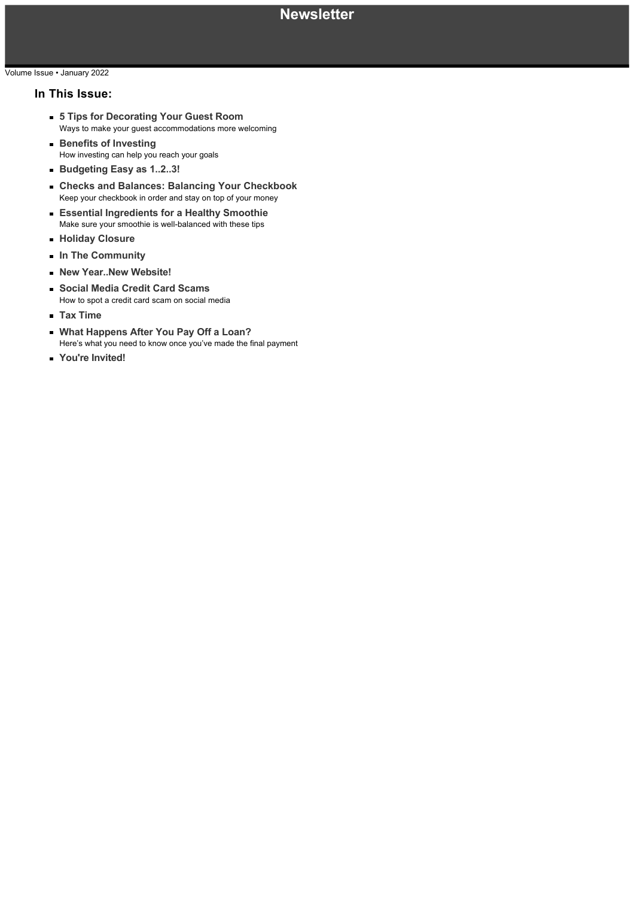### Volume Issue • January 2022

### **In This Issue:**

- **5 Tips for Decorating Your Guest Room** Ways to make your guest accommodations more welcoming
- **Benefits of Investing** How investing can help you reach your goals
- **Budgeting Easy as 1..2..3!**
- **Checks and Balances: Balancing Your Checkbook** Keep your checkbook in order and stay on top of your money
- **Essential Ingredients for a Healthy Smoothie** Make sure your smoothie is well-balanced with these tips
- **Holiday Closure**
- **In The Community**
- **New Year..New Website!**
- **Social Media Credit Card Scams** How to spot a credit card scam on social media
- **Tax Time**
- **What Happens After You Pay Off a Loan?** Here's what you need to know once you've made the final payment
- **You're Invited!**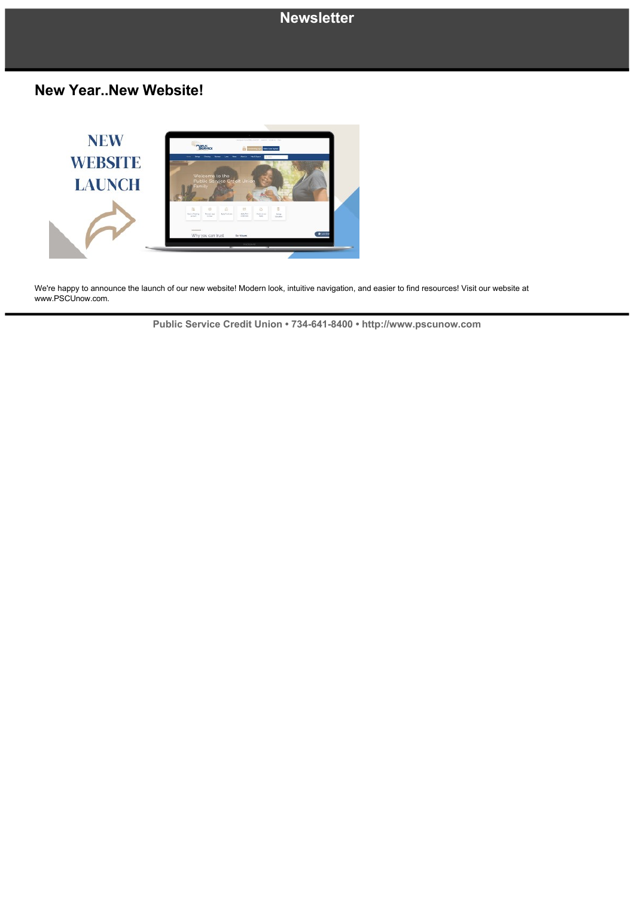### **New Year..New Website!**



We're happy to announce the launch of our new website! Modern look, intuitive navigation, and easier to find resources! Visit our website at www.PSCUnow.com.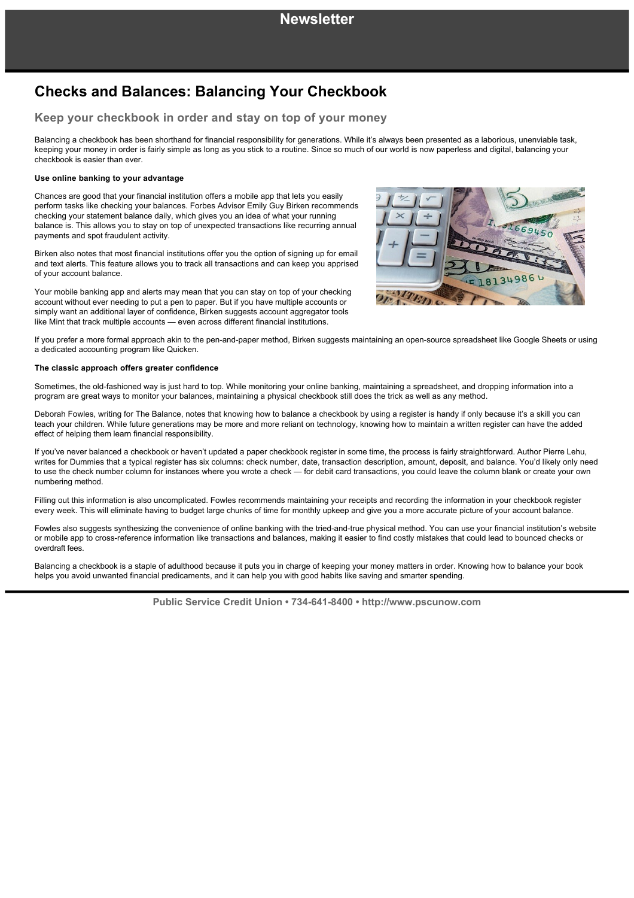## **Checks and Balances: Balancing Your Checkbook**

### **Keep your checkbook in order and stay on top of your money**

Balancing a checkbook has been shorthand for financial responsibility for generations. While it's always been presented as a laborious, unenviable task, keeping your money in order is fairly simple as long as you stick to a routine. Since so much of our world is now paperless and digital, balancing your checkbook is easier than ever.

#### **Use online banking to your advantage**

Chances are good that your financial institution offers a mobile app that lets you easily perform tasks like checking your balances. Forbes Advisor Emily Guy Birken recommends checking your statement balance daily, which gives you an idea of what your running balance is. This allows you to stay on top of unexpected transactions like recurring annual payments and spot fraudulent activity.

Birken also notes that most financial institutions offer you the option of signing up for email and text alerts. This feature allows you to track all transactions and can keep you apprised of your account balance.



Your mobile banking app and alerts may mean that you can stay on top of your checking account without ever needing to put a pen to paper. But if you have multiple accounts or simply want an additional layer of confidence, Birken suggests account aggregator tools like Mint that track multiple accounts — even across different financial institutions.

If you prefer a more formal approach akin to the pen-and-paper method, Birken suggests maintaining an open-source spreadsheet like Google Sheets or using a dedicated accounting program like Quicken.

#### **The classic approach offers greater confidence**

Sometimes, the old-fashioned way is just hard to top. While monitoring your online banking, maintaining a spreadsheet, and dropping information into a program are great ways to monitor your balances, maintaining a physical checkbook still does the trick as well as any method.

Deborah Fowles, writing for The Balance, notes that knowing how to balance a checkbook by using a register is handy if only because it's a skill you can teach your children. While future generations may be more and more reliant on technology, knowing how to maintain a written register can have the added effect of helping them learn financial responsibility.

If you've never balanced a checkbook or haven't updated a paper checkbook register in some time, the process is fairly straightforward. Author Pierre Lehu, writes for Dummies that a typical register has six columns: check number, date, transaction description, amount, deposit, and balance. You'd likely only need to use the check number column for instances where you wrote a check — for debit card transactions, you could leave the column blank or create your own numbering method.

Filling out this information is also uncomplicated. Fowles recommends maintaining your receipts and recording the information in your checkbook register every week. This will eliminate having to budget large chunks of time for monthly upkeep and give you a more accurate picture of your account balance.

Fowles also suggests synthesizing the convenience of online banking with the tried-and-true physical method. You can use your financial institution's website or mobile app to crossreference information like transactions and balances, making it easier to find costly mistakes that could lead to bounced checks or overdraft fees.

Balancing a checkbook is a staple of adulthood because it puts you in charge of keeping your money matters in order. Knowing how to balance your book helps you avoid unwanted financial predicaments, and it can help you with good habits like saving and smarter spending.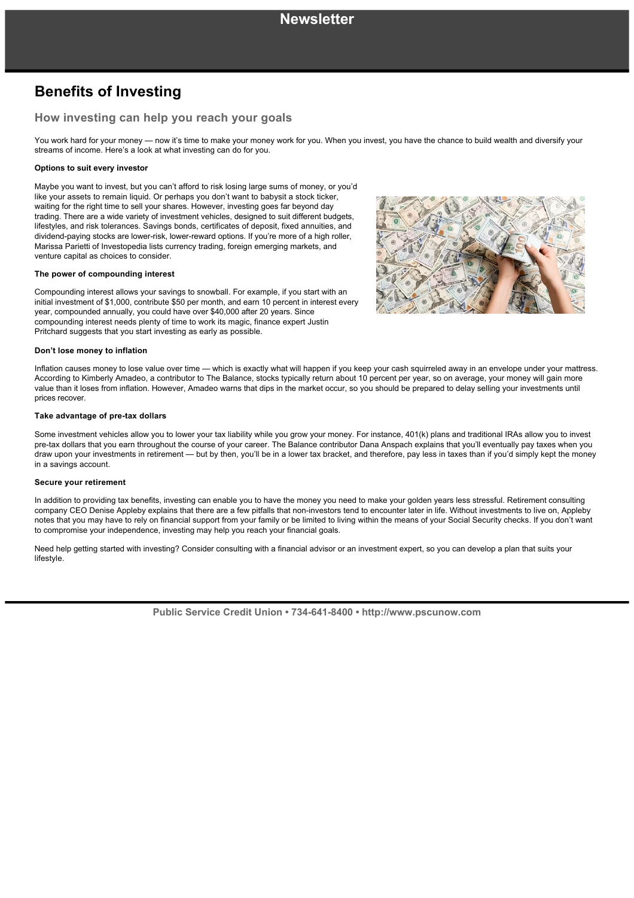## **Benefits of Investing**

### **How investing can help you reach your goals**

You work hard for your money — now it's time to make your money work for you. When you invest, you have the chance to build wealth and diversify your streams of income. Here's a look at what investing can do for you.

#### **Options to suit every investor**

Maybe you want to invest, but you can't afford to risk losing large sums of money, or you'd like your assets to remain liquid. Or perhaps you don't want to babysit a stock ticker, waiting for the right time to sell your shares. However, investing goes far beyond day trading. There are a wide variety of investment vehicles, designed to suit different budgets, lifestyles, and risk tolerances. Savings bonds, certificates of deposit, fixed annuities, and dividend-paying stocks are lower-risk, lower-reward options. If you're more of a high roller, Marissa Parietti of Investopedia lists currency trading, foreign emerging markets, and venture capital as choices to consider.

#### **The power of compounding interest**

Compounding interest allows your savings to snowball. For example, if you start with an initial investment of \$1,000, contribute \$50 per month, and earn 10 percent in interest every year, compounded annually, you could have over \$40,000 after 20 years. Since compounding interest needs plenty of time to work its magic, finance expert Justin Pritchard suggests that you start investing as early as possible.

#### **Don't lose money to inflation**

Inflation causes money to lose value over time — which is exactly what will happen if you keep your cash squirreled away in an envelope under your mattress. According to Kimberly Amadeo, a contributor to The Balance, stocks typically return about 10 percent per year, so on average, your money will gain more value than it loses from inflation. However, Amadeo warns that dips in the market occur, so you should be prepared to delay selling your investments until prices recover.

#### **Take advantage of pre-tax dollars**

Some investment vehicles allow you to lower your tax liability while you grow your money. For instance, 401(k) plans and traditional IRAs allow you to invest pre-tax dollars that you earn throughout the course of your career. The Balance contributor Dana Anspach explains that you'll eventually pay taxes when you draw upon your investments in retirement — but by then, you'll be in a lower tax bracket, and therefore, pay less in taxes than if you'd simply kept the money in a savings account.

#### **Secure your retirement**

In addition to providing tax benefits, investing can enable you to have the money you need to make your golden years less stressful. Retirement consulting company CEO Denise Appleby explains that there are a few pitfalls that non-investors tend to encounter later in life. Without investments to live on, Appleby notes that you may have to rely on financial support from your family or be limited to living within the means of your Social Security checks. If you don't want to compromise your independence, investing may help you reach your financial goals.

Need help getting started with investing? Consider consulting with a financial advisor or an investment expert, so you can develop a plan that suits your lifestyle.

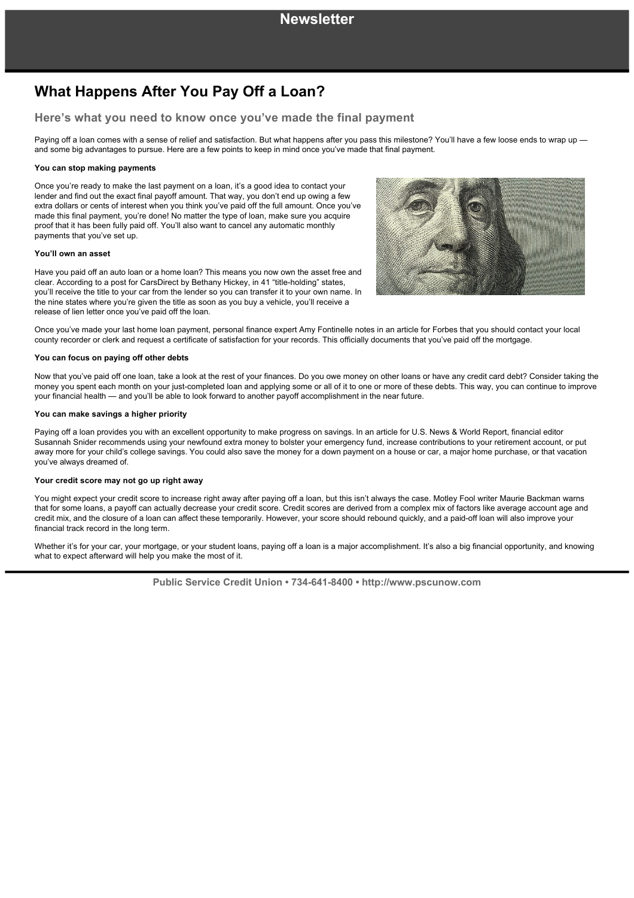## **What Happens After You Pay Off a Loan?**

### **Here's what you need to know once you've made the final payment**

Paying off a loan comes with a sense of relief and satisfaction. But what happens after you pass this milestone? You'll have a few loose ends to wrap up and some big advantages to pursue. Here are a few points to keep in mind once you've made that final payment.

#### **You can stop making payments**

Once you're ready to make the last payment on a loan, it's a good idea to contact your lender and find out the exact final payoff amount. That way, you don't end up owing a few extra dollars or cents of interest when you think you've paid off the full amount. Once you've made this final payment, you're done! No matter the type of loan, make sure you acquire proof that it has been fully paid off. You'll also want to cancel any automatic monthly payments that you've set up.

#### **You'll own an asset**

Have you paid off an auto loan or a home loan? This means you now own the asset free and clear. According to a post for CarsDirect by Bethany Hickey, in 41 "title-holding" states, you'll receive the title to your car from the lender so you can transfer it to your own name. In the nine states where you're given the title as soon as you buy a vehicle, you'll receive a release of lien letter once you've paid off the loan.



Once you've made your last home loan payment, personal finance expert Amy Fontinelle notes in an article for Forbes that you should contact your local county recorder or clerk and request a certificate of satisfaction for your records. This officially documents that you've paid off the mortgage.

#### **You can focus on paying off other debts**

Now that you've paid off one loan, take a look at the rest of your finances. Do you owe money on other loans or have any credit card debt? Consider taking the money you spent each month on your just-completed loan and applying some or all of it to one or more of these debts. This way, you can continue to improve your financial health — and you'll be able to look forward to another payoff accomplishment in the near future.

#### **You can make savings a higher priority**

Paying off a loan provides you with an excellent opportunity to make progress on savings. In an article for U.S. News & World Report, financial editor Susannah Snider recommends using your newfound extra money to bolster your emergency fund, increase contributions to your retirement account, or put away more for your child's college savings. You could also save the money for a down payment on a house or car, a major home purchase, or that vacation you've always dreamed of.

#### **Your credit score may not go up right away**

You might expect your credit score to increase right away after paying off a loan, but this isn't always the case. Motley Fool writer Maurie Backman warns that for some loans, a payoff can actually decrease your credit score. Credit scores are derived from a complex mix of factors like average account age and credit mix, and the closure of a loan can affect these temporarily. However, your score should rebound quickly, and a paid-off loan will also improve your financial track record in the long term.

Whether it's for your car, your mortgage, or your student loans, paying off a loan is a major accomplishment. It's also a big financial opportunity, and knowing what to expect afterward will help you make the most of it.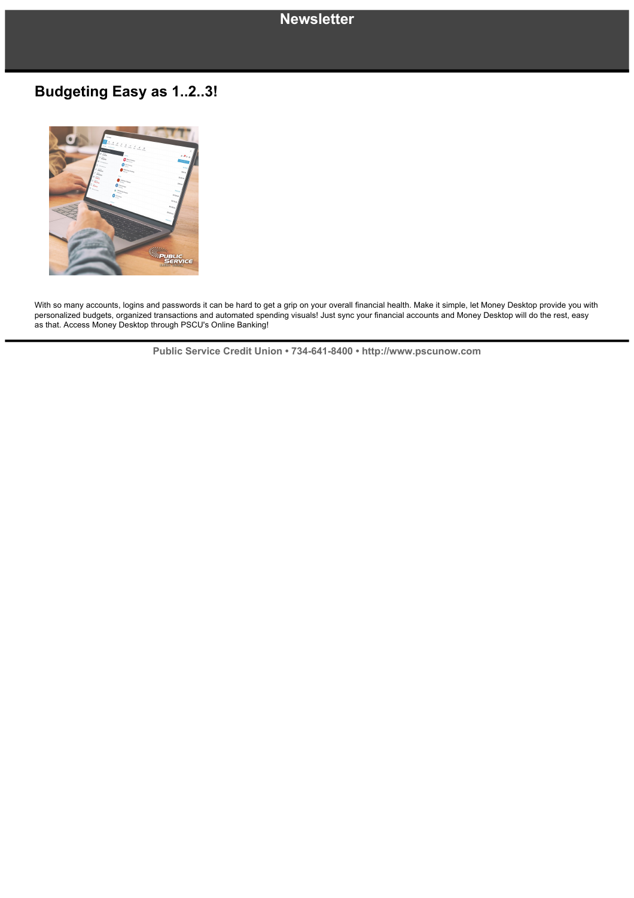## **Budgeting Easy as 1..2..3!**



With so many accounts, logins and passwords it can be hard to get a grip on your overall financial health. Make it simple, let Money Desktop provide you with personalized budgets, organized transactions and automated spending visuals! Just sync your financial accounts and Money Desktop will do the rest, easy as that. Access Money Desktop through PSCU's Online Banking!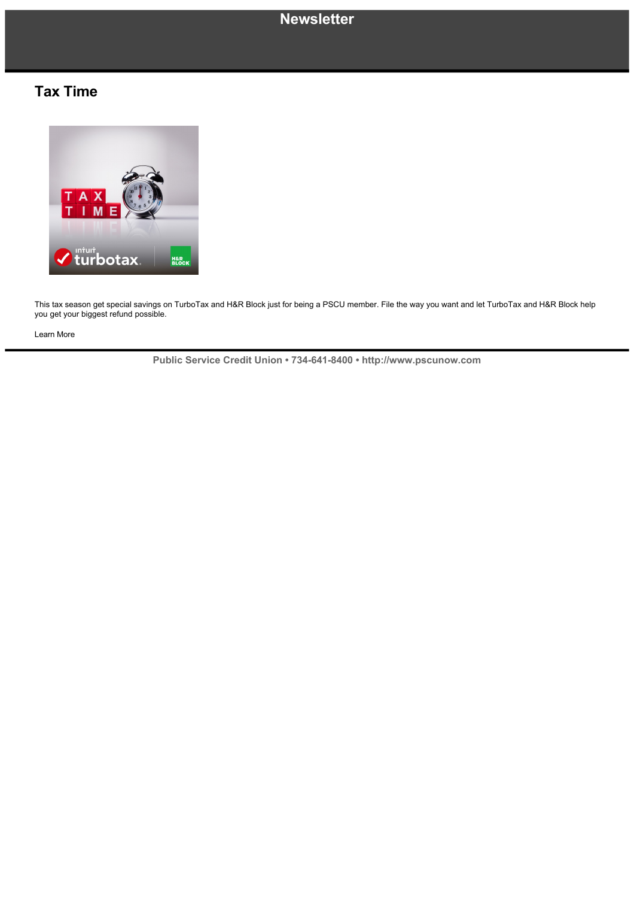## **Tax Time**



This tax season get special savings on TurboTax and H&R Block just for being a PSCU member. File the way you want and let TurboTax and H&R Block help you get your biggest refund possible.

Learn More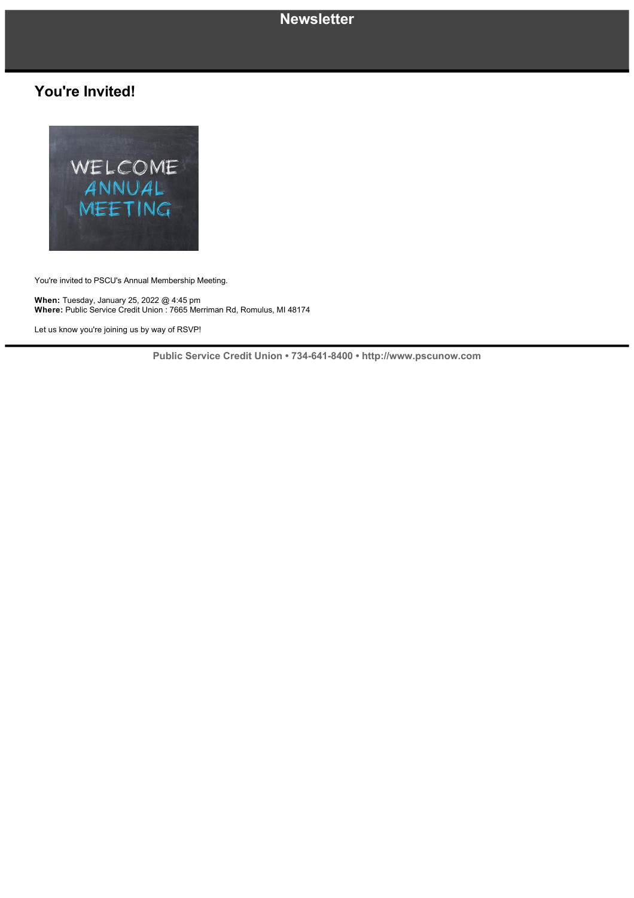## **You're Invited!**



You're invited to PSCU's Annual Membership Meeting.

**When:** Tuesday, January 25, 2022 @ 4:45 pm **Where:** Public Service Credit Union : 7665 Merriman Rd, Romulus, MI 48174

Let us know you're joining us by way of RSVP!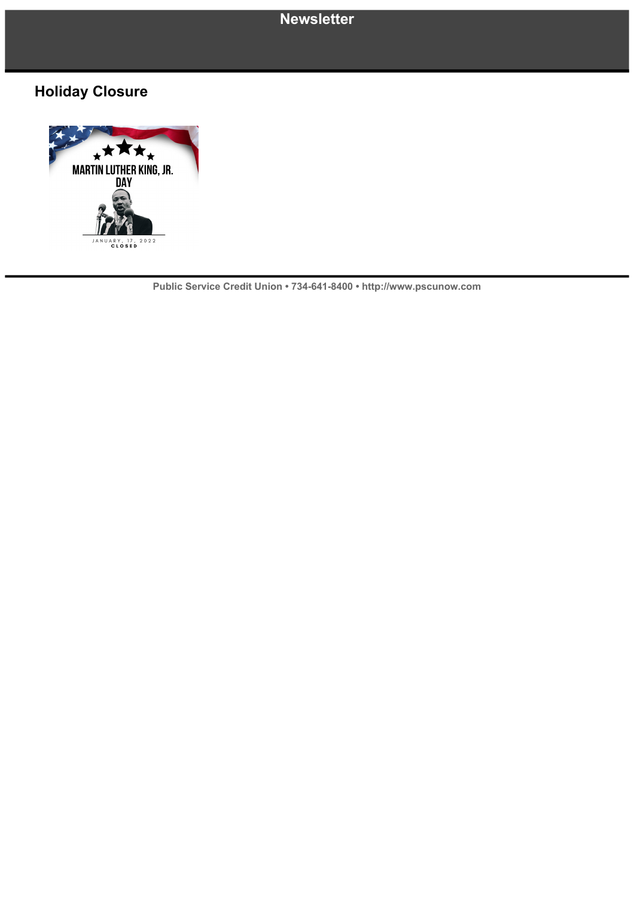# **Holiday Closure**

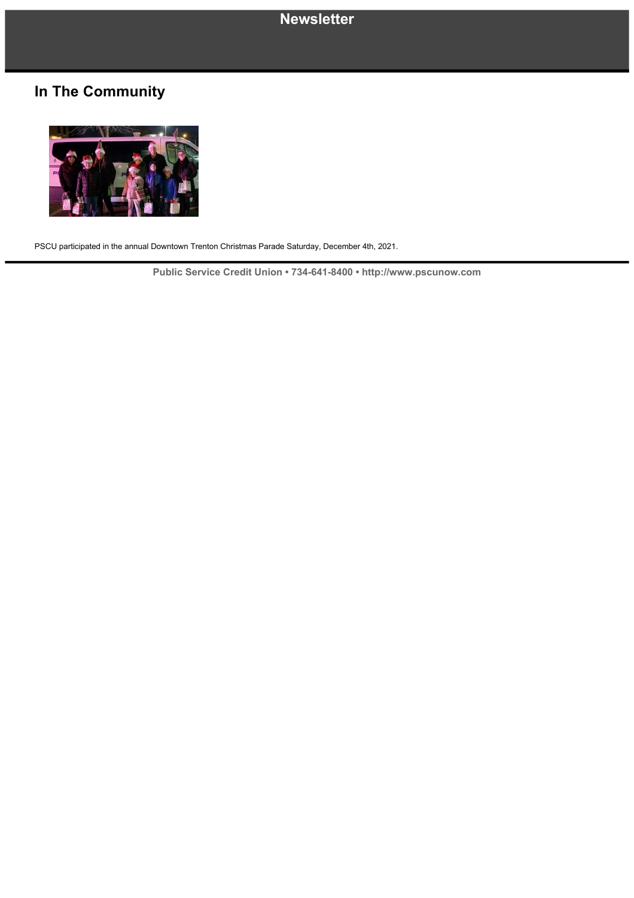# **In The Community**



PSCU participated in the annual Downtown Trenton Christmas Parade Saturday, December 4th, 2021.